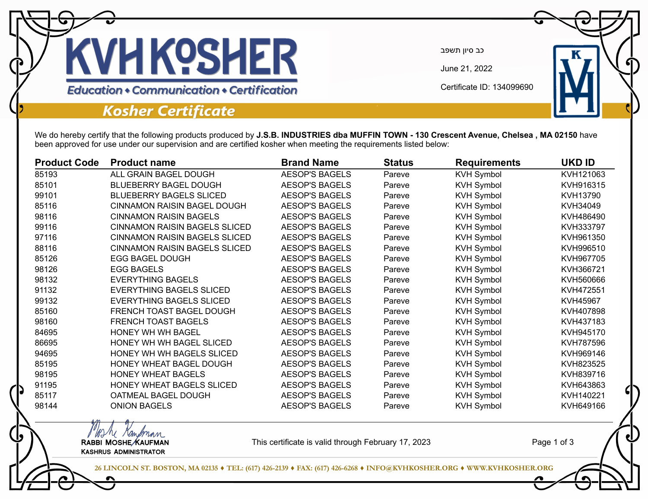

כב סיון תשפב

June 21, 2022

Certificate ID: 134099690

## **Kosher Certificate**

We do hereby certify that the following products produced by **J.S.B. INDUSTRIES dba MUFFIN TOWN - 130 Crescent Avenue, Chelsea , MA 02150** have been approved for use under our supervision and are certified kosher when meeting the requirements listed below:

| <b>Product Code</b> | <b>Product name</b>                  | <b>Brand Name</b>     | <b>Status</b> | <b>Requirements</b> | <b>UKD ID</b> |
|---------------------|--------------------------------------|-----------------------|---------------|---------------------|---------------|
| 85193               | ALL GRAIN BAGEL DOUGH                | <b>AESOP'S BAGELS</b> | Pareve        | <b>KVH Symbol</b>   | KVH121063     |
| 85101               | <b>BLUEBERRY BAGEL DOUGH</b>         | <b>AESOP'S BAGELS</b> | Pareve        | <b>KVH Symbol</b>   | KVH916315     |
| 99101               | <b>BLUEBERRY BAGELS SLICED</b>       | <b>AESOP'S BAGELS</b> | Pareve        | <b>KVH Symbol</b>   | KVH13790      |
| 85116               | <b>CINNAMON RAISIN BAGEL DOUGH</b>   | <b>AESOP'S BAGELS</b> | Pareve        | <b>KVH Symbol</b>   | KVH34049      |
| 98116               | <b>CINNAMON RAISIN BAGELS</b>        | <b>AESOP'S BAGELS</b> | Pareve        | <b>KVH Symbol</b>   | KVH486490     |
| 99116               | <b>CINNAMON RAISIN BAGELS SLICED</b> | <b>AESOP'S BAGELS</b> | Pareve        | <b>KVH Symbol</b>   | KVH333797     |
| 97116               | <b>CINNAMON RAISIN BAGELS SLICED</b> | <b>AESOP'S BAGELS</b> | Pareve        | <b>KVH Symbol</b>   | KVH961350     |
| 88116               | <b>CINNAMON RAISIN BAGELS SLICED</b> | <b>AESOP'S BAGELS</b> | Pareve        | <b>KVH Symbol</b>   | KVH996510     |
| 85126               | <b>EGG BAGEL DOUGH</b>               | <b>AESOP'S BAGELS</b> | Pareve        | <b>KVH Symbol</b>   | KVH967705     |
| 98126               | <b>EGG BAGELS</b>                    | <b>AESOP'S BAGELS</b> | Pareve        | <b>KVH Symbol</b>   | KVH366721     |
| 98132               | <b>EVERYTHING BAGELS</b>             | <b>AESOP'S BAGELS</b> | Pareve        | <b>KVH Symbol</b>   | KVH560666     |
| 91132               | <b>EVERYTHING BAGELS SLICED</b>      | <b>AESOP'S BAGELS</b> | Pareve        | <b>KVH Symbol</b>   | KVH472551     |
| 99132               | <b>EVERYTHING BAGELS SLICED</b>      | <b>AESOP'S BAGELS</b> | Pareve        | <b>KVH Symbol</b>   | KVH45967      |
| 85160               | FRENCH TOAST BAGEL DOUGH             | <b>AESOP'S BAGELS</b> | Pareve        | <b>KVH Symbol</b>   | KVH407898     |
| 98160               | <b>FRENCH TOAST BAGELS</b>           | <b>AESOP'S BAGELS</b> | Pareve        | <b>KVH Symbol</b>   | KVH437183     |
| 84695               | HONEY WH WH BAGEL                    | <b>AESOP'S BAGELS</b> | Pareve        | <b>KVH Symbol</b>   | KVH945170     |
| 86695               | HONEY WH WH BAGEL SLICED             | <b>AESOP'S BAGELS</b> | Pareve        | <b>KVH Symbol</b>   | KVH787596     |
| 94695               | HONEY WH WH BAGELS SLICED            | <b>AESOP'S BAGELS</b> | Pareve        | <b>KVH Symbol</b>   | KVH969146     |
| 85195               | HONEY WHEAT BAGEL DOUGH              | <b>AESOP'S BAGELS</b> | Pareve        | <b>KVH Symbol</b>   | KVH823525     |
| 98195               | <b>HONEY WHEAT BAGELS</b>            | <b>AESOP'S BAGELS</b> | Pareve        | <b>KVH Symbol</b>   | KVH839716     |
| 91195               | HONEY WHEAT BAGELS SLICED            | <b>AESOP'S BAGELS</b> | Pareve        | <b>KVH Symbol</b>   | KVH643863     |
| 85117               | OATMEAL BAGEL DOUGH                  | <b>AESOP'S BAGELS</b> | Pareve        | <b>KVH Symbol</b>   | KVH140221     |
| 98144               | <b>ONION BAGELS</b>                  | <b>AESOP'S BAGELS</b> | Pareve        | <b>KVH Symbol</b>   | KVH649166     |

MAN Kampman<br>RABBI MOSHE KAUFMAN Kashrus Administrator

This certificate is valid through February 17, 2023

Page 1 of 3

**26 LINCOLN ST. BOSTON, MA 02135 ♦ TEL: (617) 426-2139 ♦ FAX: (617) 426-6268 ♦ INFO@KVHKOSHER.ORG ♦ WWW.KVHKOSHER.ORG**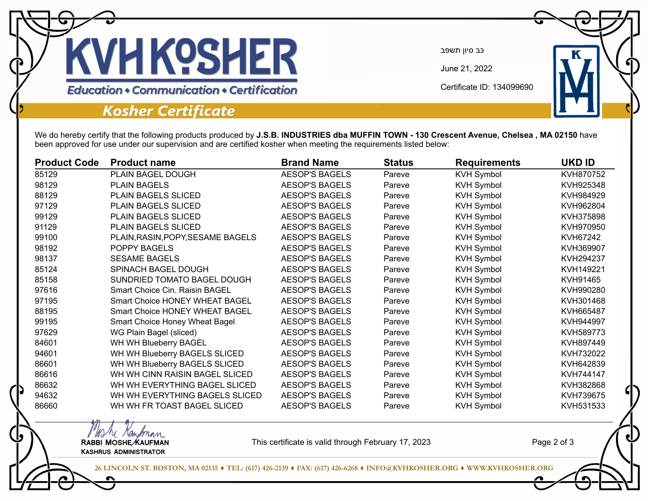

כב סיון תשפב

June 21, 2022

Certificate ID: 134099690

## **Kosher Certificate**

MAN Kampman<br>RABBI MOSHE KAUFMAN Kashrus Administrator

## We do hereby certify that the following products produced by **J.S.B. INDUSTRIES dba MUFFIN TOWN - 130 Crescent Avenue, Chelsea , MA 02150** have been approved for use under our supervision and are certified kosher when meeting the requirements listed below:

| <b>Product Code</b> | <b>Product name</b>                   | <b>Brand Name</b>     | <b>Status</b> | <b>Requirements</b> | <b>UKD ID</b> |
|---------------------|---------------------------------------|-----------------------|---------------|---------------------|---------------|
| 85129               | PLAIN BAGEL DOUGH                     | <b>AESOP'S BAGELS</b> | Pareve        | <b>KVH Symbol</b>   | KVH870752     |
| 98129               | <b>PLAIN BAGELS</b>                   | <b>AESOP'S BAGELS</b> | Pareve        | <b>KVH Symbol</b>   | KVH925348     |
| 88129               | PLAIN BAGELS SLICED                   | <b>AESOP'S BAGELS</b> | Pareve        | <b>KVH Symbol</b>   | KVH984929     |
| 97129               | PLAIN BAGELS SLICED                   | <b>AESOP'S BAGELS</b> | Pareve        | <b>KVH Symbol</b>   | KVH962804     |
| 99129               | PLAIN BAGELS SLICED                   | <b>AESOP'S BAGELS</b> | Pareve        | <b>KVH Symbol</b>   | KVH375898     |
| 91129               | PLAIN BAGELS SLICED                   | <b>AESOP'S BAGELS</b> | Pareve        | <b>KVH Symbol</b>   | KVH970950     |
| 99100               | PLAIN, RASIN, POPY, SESAME BAGELS     | <b>AESOP'S BAGELS</b> | Pareve        | <b>KVH Symbol</b>   | KVH67242      |
| 98192               | POPPY BAGELS                          | <b>AESOP'S BAGELS</b> | Pareve        | <b>KVH Symbol</b>   | KVH369907     |
| 98137               | <b>SESAME BAGELS</b>                  | <b>AESOP'S BAGELS</b> | Pareve        | <b>KVH Symbol</b>   | KVH294237     |
| 85124               | SPINACH BAGEL DOUGH                   | <b>AESOP'S BAGELS</b> | Pareve        | <b>KVH Symbol</b>   | KVH149221     |
| 85158               | SUNDRIED TOMATO BAGEL DOUGH           | <b>AESOP'S BAGELS</b> | Pareve        | <b>KVH Symbol</b>   | KVH91465      |
| 97616               | Smart Choice Cin. Raisin BAGEL        | <b>AESOP'S BAGELS</b> | Pareve        | <b>KVH Symbol</b>   | KVH990280     |
| 97195               | Smart Choice HONEY WHEAT BAGEL        | <b>AESOP'S BAGELS</b> | Pareve        | <b>KVH Symbol</b>   | KVH301468     |
| 88195               | <b>Smart Choice HONEY WHEAT BAGEL</b> | <b>AESOP'S BAGELS</b> | Pareve        | <b>KVH Symbol</b>   | KVH665487     |
| 99195               | <b>Smart Choice Honey Wheat Bagel</b> | <b>AESOP'S BAGELS</b> | Pareve        | <b>KVH Symbol</b>   | KVH944997     |
| 97629               | WG Plain Bagel (sliced)               | <b>AESOP'S BAGELS</b> | Pareve        | <b>KVH Symbol</b>   | KVH589773     |
| 84601               | WH WH Blueberry BAGEL                 | <b>AESOP'S BAGELS</b> | Pareve        | <b>KVH Symbol</b>   | KVH897449     |
| 94601               | WH WH Blueberry BAGELS SLICED         | <b>AESOP'S BAGELS</b> | Pareve        | <b>KVH Symbol</b>   | KVH732022     |
| 86601               | WH WH Blueberry BAGELS SLICED         | <b>AESOP'S BAGELS</b> | Pareve        | <b>KVH Symbol</b>   | KVH642839     |
| 86616               | WH WH CINN RAISIN BAGEL SLICED        | <b>AESOP'S BAGELS</b> | Pareve        | <b>KVH Symbol</b>   | KVH744147     |
| 86632               | WH WH EVERYTHING BAGEL SLICED         | <b>AESOP'S BAGELS</b> | Pareve        | <b>KVH Symbol</b>   | KVH382868     |
| 94632               | WH WH EVERYTHING BAGELS SLICED        | <b>AESOP'S BAGELS</b> | Pareve        | <b>KVH Symbol</b>   | KVH739675     |
| 86660               | WH WH FR TOAST BAGEL SLICED           | <b>AESOP'S BAGELS</b> | Pareve        | <b>KVH Symbol</b>   | KVH531533     |

This certificate is valid through February 17, 2023

Page 2 of 3

**26 LINCOLN ST. BOSTON, MA 02135 ♦ TEL: (617) 426-2139 ♦ FAX: (617) 426-6268 ♦ INFO@KVHKOSHER.ORG ♦ WWW.KVHKOSHER.ORG**